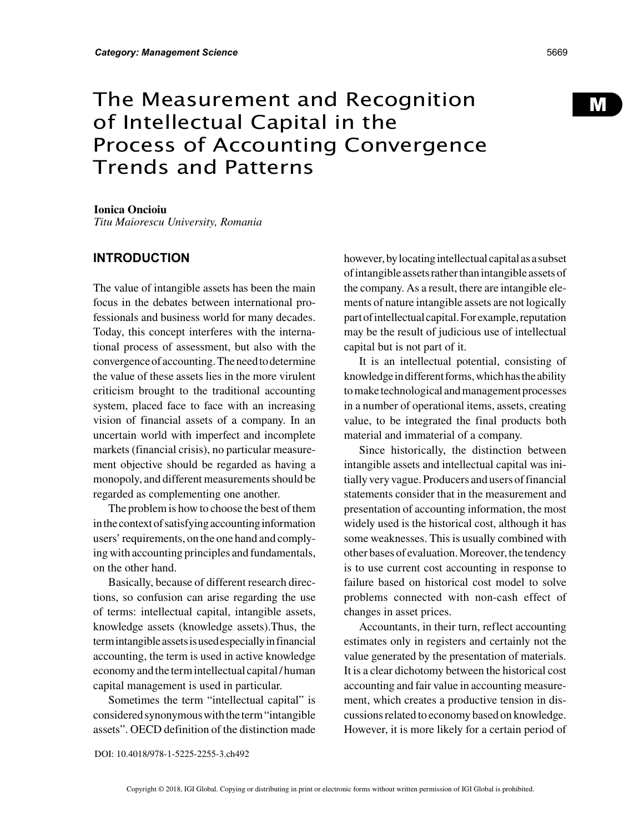# The Measurement and Recognition of Intellectual Capital in the Process of Accounting Convergence Trends and Patterns

#### **Ionica Oncioiu**

*Titu Maiorescu University, Romania*

### **INTRODUCTION**

The value of intangible assets has been the main focus in the debates between international professionals and business world for many decades. Today, this concept interferes with the international process of assessment, but also with the convergence of accounting. The need to determine the value of these assets lies in the more virulent criticism brought to the traditional accounting system, placed face to face with an increasing vision of financial assets of a company. In an uncertain world with imperfect and incomplete markets (financial crisis), no particular measurement objective should be regarded as having a monopoly, and different measurements should be regarded as complementing one another.

The problem is how to choose the best of them in the context of satisfying accounting information users' requirements, on the one hand and complying with accounting principles and fundamentals, on the other hand.

Basically, because of different research directions, so confusion can arise regarding the use of terms: intellectual capital, intangible assets, knowledge assets (knowledge assets).Thus, the term intangible assets is used especially in financial accounting, the term is used in active knowledge economy and the term intellectual capital / human capital management is used in particular.

Sometimes the term "intellectual capital" is considered synonymous with the term "intangible assets". OECD definition of the distinction made however, by locating intellectual capital as a subset of intangible assets rather than intangible assets of the company. As a result, there are intangible elements of nature intangible assets are not logically part of intellectual capital. For example, reputation may be the result of judicious use of intellectual capital but is not part of it.

It is an intellectual potential, consisting of knowledge in different forms, which has the ability to make technological and management processes in a number of operational items, assets, creating value, to be integrated the final products both material and immaterial of a company.

Since historically, the distinction between intangible assets and intellectual capital was initially very vague. Producers and users of financial statements consider that in the measurement and presentation of accounting information, the most widely used is the historical cost, although it has some weaknesses. This is usually combined with other bases of evaluation. Moreover, the tendency is to use current cost accounting in response to failure based on historical cost model to solve problems connected with non-cash effect of changes in asset prices.

Accountants, in their turn, reflect accounting estimates only in registers and certainly not the value generated by the presentation of materials. It is a clear dichotomy between the historical cost accounting and fair value in accounting measurement, which creates a productive tension in discussions related to economy based on knowledge. However, it is more likely for a certain period of M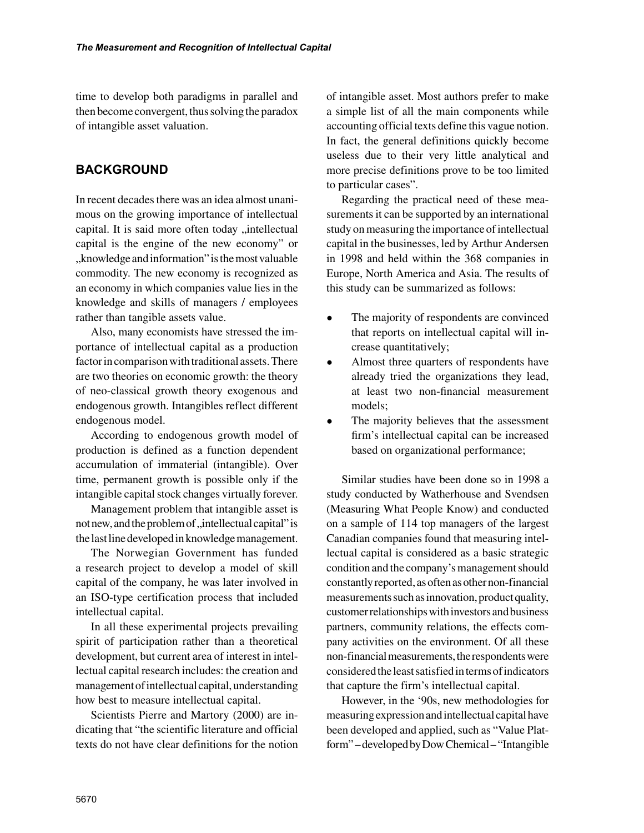time to develop both paradigms in parallel and then become convergent, thus solving the paradox of intangible asset valuation.

# **BACKGROUND**

In recent decades there was an idea almost unanimous on the growing importance of intellectual capital. It is said more often today "intellectual capital is the engine of the new economy" or , knowledge and information" is the most valuable commodity. The new economy is recognized as an economy in which companies value lies in the knowledge and skills of managers / employees rather than tangible assets value.

Also, many economists have stressed the importance of intellectual capital as a production factor in comparison with traditional assets. There are two theories on economic growth: the theory of neo-classical growth theory exogenous and endogenous growth. Intangibles reflect different endogenous model.

According to endogenous growth model of production is defined as a function dependent accumulation of immaterial (intangible). Over time, permanent growth is possible only if the intangible capital stock changes virtually forever.

Management problem that intangible asset is not new, and the problem of , intellectual capital" is the last line developed in knowledge management.

The Norwegian Government has funded a research project to develop a model of skill capital of the company, he was later involved in an ISO-type certification process that included intellectual capital.

In all these experimental projects prevailing spirit of participation rather than a theoretical development, but current area of interest in intellectual capital research includes: the creation and management of intellectual capital, understanding how best to measure intellectual capital.

Scientists Pierre and Martory (2000) are indicating that "the scientific literature and official texts do not have clear definitions for the notion of intangible asset. Most authors prefer to make a simple list of all the main components while accounting official texts define this vague notion. In fact, the general definitions quickly become useless due to their very little analytical and more precise definitions prove to be too limited to particular cases".

Regarding the practical need of these measurements it can be supported by an international study on measuring the importance of intellectual capital in the businesses, led by Arthur Andersen in 1998 and held within the 368 companies in Europe, North America and Asia. The results of this study can be summarized as follows:

- The majority of respondents are convinced that reports on intellectual capital will increase quantitatively;
- Almost three quarters of respondents have already tried the organizations they lead, at least two non-financial measurement models;
- The majority believes that the assessment firm's intellectual capital can be increased based on organizational performance;

Similar studies have been done so in 1998 a study conducted by Watherhouse and Svendsen (Measuring What People Know) and conducted on a sample of 114 top managers of the largest Canadian companies found that measuring intellectual capital is considered as a basic strategic condition and the company's management should constantly reported, as often as other non-financial measurements such as innovation, product quality, customer relationships with investors and business partners, community relations, the effects company activities on the environment. Of all these non-financial measurements, the respondents were considered the least satisfied in terms of indicators that capture the firm's intellectual capital.

However, in the '90s, new methodologies for measuring expression and intellectual capital have been developed and applied, such as "Value Platform" – developed by Dow Chemical – "Intangible